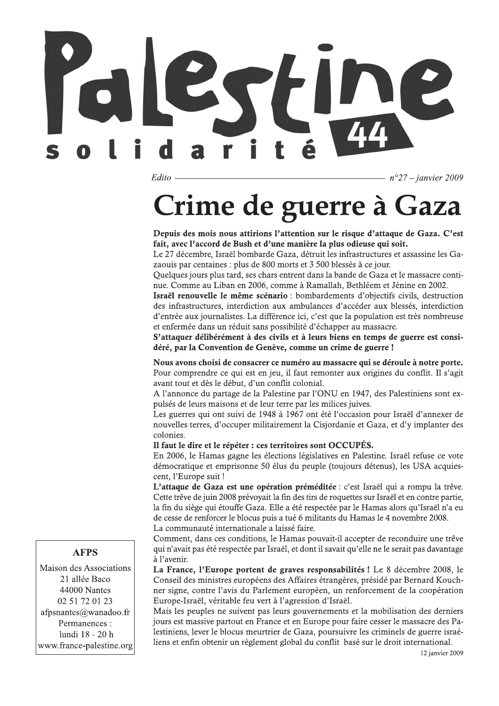Edito

 $n^{\circ}27$  – janvier 2009

# **Crime de guerre à Gaza**

Depuis des mois nous attirions l'attention sur le risque d'attaque de Gaza. C'est fait, avec l'accord de Bush et d'une manière la plus odieuse qui soit.

Le 27 décembre, Israël bombarde Gaza, détruit les infrastructures et assassine les Gazaouis par centaines : plus de 800 morts et 3 500 blessés à ce jour.

Quelques jours plus tard, ses chars entrent dans la bande de Gaza et le massacre continue. Comme au Liban en 2006, comme à Ramallah, Bethléem et Jénine en 2002.

Israël renouvelle le même scénario : bombardements d'objectifs civils, destruction des infrastructures, interdiction aux ambulances d'accéder aux blessés, interdiction d'entrée aux journalistes. La différence ici, c'est que la population est très nombreuse et enfermée dans un réduit sans possibilité d'échapper au massacre.

S'attaquer délibérément à des civils et à leurs biens en temps de guerre est considéré, par la Convention de Genève, comme un crime de guerre !

Nous avons choisi de consacrer ce numéro au massacre qui se déroule à notre porte. Pour comprendre ce qui est en jeu, il faut remonter aux origines du conflit. Il s'agit avant tout et dès le début, d'un conflit colonial.

A l'annonce du partage de la Palestine par l'ONU en 1947, des Palestiniens sont expulsés de leurs maisons et de leur terre par les milices juives.

Les guerres qui ont suivi de 1948 à 1967 ont été l'occasion pour Israël d'annexer de nouvelles terres, d'occuper militairement la Cisjordanie et Gaza, et d'y implanter des colonies.

Il faut le dire et le répéter : ces territoires sont OCCUPÉS.

En 2006, le Hamas gagne les élections législatives en Palestine. Israël refuse ce vote démocratique et emprisonne 50 élus du peuple (toujours détenus), les USA acquiescent, l'Europe suit !

L'attaque de Gaza est une opération préméditée : c'est Israël qui a rompu la trêve. Cette trêve de juin 2008 prévoyait la fin des tirs de roquettes sur Israël et en contre partie, la fin du siège qui étouffe Gaza. Elle a été respectée par le Hamas alors qu'Israël n'a eu de cesse de renforcer le blocus puis a tué 6 militants du Hamas le 4 novembre 2008. La communauté internationale a laissé faire.

Comment, dans ces conditions, le Hamas pouvait-il accepter de reconduire une trêve qui n'avait pas été respectée par Israël, et dont il savait qu'elle ne le serait pas davantage à l'avenir.

La France, l'Europe portent de graves responsabilités ! Le 8 décembre 2008, le Conseil des ministres européens des Affaires étrangères, présidé par Bernard Kouchner signe, contre l'avis du Parlement européen, un renforcement de la coopération Europe-Israël, véritable feu vert à l'agression d'Israël.

Mais les peuples ne suivent pas leurs gouvernements et la mobilisation des derniers jours est massive partout en France et en Europe pour faire cesser le massacre des Palestiniens, lever le blocus meurtrier de Gaza, poursuivre les criminels de guerre israéliens et enfin obtenir un règlement global du conflit basé sur le droit international.

#### **AFPS**

Maison des Associations 21 allée Baco 44000 Nantes 02 51 72 01 23 afpsnantes@wanadoo.fr Permanences : lundi 18 - 20 h www.france-palestine.org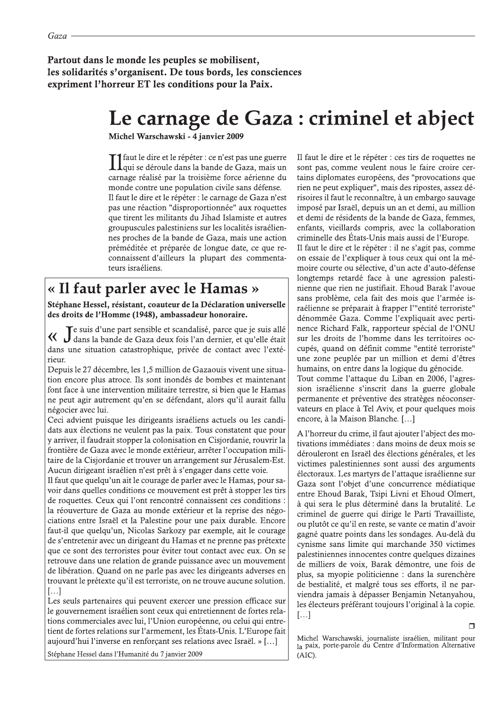Partout dans le monde les peuples se mobilisent, les solidarités s'organisent. De tous bords, les consciences expriment l'horreur ET les conditions pour la Paix.

## Le carnage de Gaza : criminel et abject

Michel Warschawski - 4 janvier 2009

Il faut le dire et le répéter : ce n'est pas une guerre<br>Il qui se déroule dans la bande de Gaza, mais un carnage réalisé par la troisième force aérienne du monde contre une population civile sans défense. Il faut le dire et le répéter : le carnage de Gaza n'est pas une réaction "disproportionnée" aux roquettes que tirent les militants du Jihad Islamiste et autres groupuscules palestiniens sur les localités israéliennes proches de la bande de Gaza, mais une action préméditée et préparée de longue date, ce que reconnaissent d'ailleurs la plupart des commentateurs israéliens.

## « Il faut parler avec le Hamas »

Stéphane Hessel, résistant, coauteur de la Déclaration universelle des droits de l'Homme (1948), ambassadeur honoraire.

Le suis d'une part sensible et scandalisé, parce que je suis allé dans la bande de Gaza deux fois l'an dernier, et qu'elle était dans une situation catastrophique, privée de contact avec l'extérieur.

Depuis le 27 décembre, les 1,5 million de Gazaouis vivent une situation encore plus atroce. Ils sont inondés de bombes et maintenant font face à une intervention militaire terrestre, si bien que le Hamas ne peut agir autrement qu'en se défendant, alors qu'il aurait fallu négocier avec lui.

Ceci advient puisque les dirigeants israéliens actuels ou les candidats aux élections ne veulent pas la paix. Tous constatent que pour y arriver, il faudrait stopper la colonisation en Cisjordanie, rouvrir la frontière de Gaza avec le monde extérieur, arrêter l'occupation militaire de la Cisjordanie et trouver un arrangement sur Jérusalem-Est. Aucun dirigeant israélien n'est prêt à s'engager dans cette voie.

Il faut que quelqu'un ait le courage de parler avec le Hamas, pour savoir dans quelles conditions ce mouvement est prêt à stopper les tirs de roquettes. Ceux qui l'ont rencontré connaissent ces conditions : la réouverture de Gaza au monde extérieur et la reprise des négociations entre Israël et la Palestine pour une paix durable. Encore faut-il que quelqu'un, Nicolas Sarkozy par exemple, ait le courage de s'entretenir avec un dirigeant du Hamas et ne prenne pas prétexte que ce sont des terroristes pour éviter tout contact avec eux. On se retrouve dans une relation de grande puissance avec un mouvement de libération. Quand on ne parle pas avec les dirigeants adverses en trouvant le prétexte qu'il est terroriste, on ne trouve aucune solution.  $[\ldots]$ 

Les seuls partenaires qui peuvent exercer une pression efficace sur le gouvernement israélien sont ceux qui entretiennent de fortes relations commerciales avec lui, l'Union européenne, ou celui qui entretient de fortes relations sur l'armement, les États-Unis. L'Europe fait aujourd'hui l'inverse en renforçant ses relations avec Israël. » [...]

Stéphane Hessel dans l'Humanité du 7 janvier 2009

Il faut le dire et le répéter : ces tirs de roquettes ne sont pas, comme veulent nous le faire croire certains diplomates européens, des "provocations que rien ne peut expliquer", mais des ripostes, assez dérisoires il faut le reconnaître, à un embargo sauvage imposé par Israël, depuis un an et demi, au million et demi de résidents de la bande de Gaza, femmes, enfants, vieillards compris, avec la collaboration criminelle des États-Unis mais aussi de l'Europe. Il faut le dire et le répéter : il ne s'agit pas, comme

on essaie de l'expliquer à tous ceux qui ont la mémoire courte ou sélective, d'un acte d'auto-défense longtemps retardé face à une agression palestinienne que rien ne justifiait. Ehoud Barak l'avoue sans problème, cela fait des mois que l'armée israélienne se préparait à frapper l'"entité terroriste" dénommée Gaza. Comme l'expliquait avec pertinence Richard Falk, rapporteur spécial de l'ONU sur les droits de l'homme dans les territoires occupés, quand on définit comme "entité terroriste" une zone peuplée par un million et demi d'êtres humains, on entre dans la logique du génocide. Tout comme l'attaque du Liban en 2006, l'agression israélienne s'inscrit dans la guerre globale permanente et préventive des stratèges néoconservateurs en place à Tel Aviv, et pour quelques mois encore, à la Maison Blanche, [...]

A l'horreur du crime, il faut ajouter l'abject des motivations immédiates : dans moins de deux mois se dérouleront en Israël des élections générales, et les victimes palestiniennes sont aussi des arguments électoraux. Les martyrs de l'attaque israélienne sur Gaza sont l'objet d'une concurrence médiatique entre Ehoud Barak, Tsipi Livni et Ehoud Olmert, à qui sera le plus déterminé dans la brutalité. Le criminel de guerre qui dirige le Parti Travailliste, ou plutôt ce qu'il en reste, se vante ce matin d'avoir gagné quatre points dans les sondages. Au-delà du cynisme sans limite qui marchande 350 victimes palestiniennes innocentes contre quelques dizaines de milliers de voix, Barak démontre, une fois de plus, sa myopie politicienne : dans la surenchère de bestialité, et malgré tous ses efforts, il ne parviendra jamais à dépasser Benjamin Netanyahou, les électeurs préférant toujours l'original à la copie.  $\left[\ldots\right]$ 

Michel Warschawski, journaliste israélien, militant pour la paix, porte-parole du Centre d'Information Alternative (AIC).

 $\Box$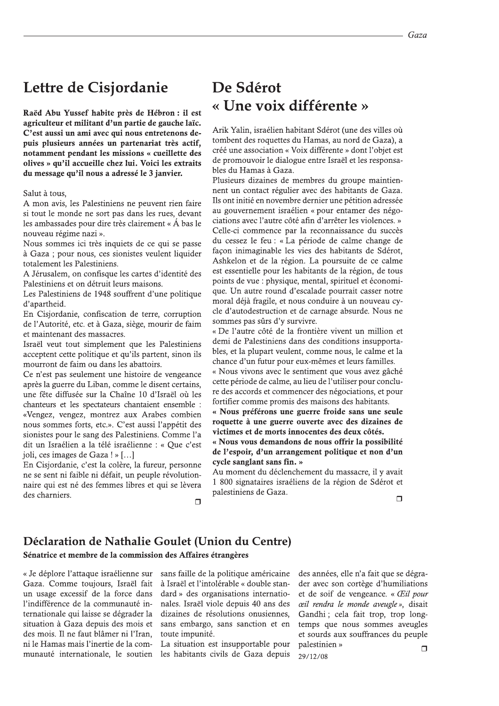## Lettre de Cisjordanie

Raëd Abu Yussef habite près de Hébron : il est agriculteur et militant d'un partie de gauche laïc. C'est aussi un ami avec qui nous entretenons depuis plusieurs années un partenariat très actif, notamment pendant les missions « cueillette des olives » qu'il accueille chez lui. Voici les extraits du message qu'il nous a adressé le 3 janvier.

Salut à tous,

A mon avis, les Palestiniens ne peuvent rien faire si tout le monde ne sort pas dans les rues, devant les ambassades pour dire très clairement « Á bas le nouveau régime nazi ».

Nous sommes ici très inquiets de ce qui se passe à Gaza ; pour nous, ces sionistes veulent liquider totalement les Palestiniens.

A Jérusalem, on confisque les cartes d'identité des Palestiniens et on détruit leurs maisons.

Les Palestiniens de 1948 souffrent d'une politique d'apartheid.

En Cisjordanie, confiscation de terre, corruption de l'Autorité, etc. et à Gaza, siège, mourir de faim et maintenant des massacres.

Israël veut tout simplement que les Palestiniens acceptent cette politique et qu'ils partent, sinon ils mourront de faim ou dans les abattoirs.

Ce n'est pas seulement une histoire de vengeance après la guerre du Liban, comme le disent certains, une fête diffusée sur la Chaîne 10 d'Israël où les chanteurs et les spectateurs chantaient ensemble : «Vengez, vengez, montrez aux Arabes combien nous sommes forts, etc.». C'est aussi l'appétit des sionistes pour le sang des Palestiniens. Comme l'a dit un Israélien a la télé israélienne : « Que c'est joli, ces images de Gaza ! » [...]

En Cisjordanie, c'est la colère, la fureur, personne ne se sent ni faible ni défait, un peuple révolutionnaire qui est né des femmes libres et qui se lèvera des charniers.  $\Box$ 

## De Sdérot « Une voix différente »

Arik Yalin, israélien habitant Sdérot (une des villes où tombent des roquettes du Hamas, au nord de Gaza), a créé une association « Voix différente » dont l'objet est de promouvoir le dialogue entre Israël et les responsables du Hamas à Gaza.

Plusieurs dizaines de membres du groupe maintiennent un contact régulier avec des habitants de Gaza. Ils ont initié en novembre dernier une pétition adressée au gouvernement israélien « pour entamer des négociations avec l'autre côté afin d'arrêter les violences. » Celle-ci commence par la reconnaissance du succès du cessez le feu : « La période de calme change de façon inimaginable les vies des habitants de Sdérot, Ashkelon et de la région. La poursuite de ce calme est essentielle pour les habitants de la région, de tous points de vue : physique, mental, spirituel et économique. Un autre round d'escalade pourrait casser notre moral déjà fragile, et nous conduire à un nouveau cycle d'autodestruction et de carnage absurde. Nous ne sommes pas sûrs d'y survivre.

« De l'autre côté de la frontière vivent un million et demi de Palestiniens dans des conditions insupportables, et la plupart veulent, comme nous, le calme et la chance d'un futur pour eux-mêmes et leurs familles.

« Nous vivons avec le sentiment que vous avez gâché cette période de calme, au lieu de l'utiliser pour conclure des accords et commencer des négociations, et pour fortifier comme promis des maisons des habitants.

« Nous préférons une guerre froide sans une seule roquette à une guerre ouverte avec des dizaines de victimes et de morts innocentes des deux côtés.

« Nous vous demandons de nous offrir la possibilité de l'espoir, d'un arrangement politique et non d'un cycle sanglant sans fin. »

Au moment du déclenchement du massacre, il y avait 1 800 signataires israéliens de la région de Sdérot et palestiniens de Gaza.  $\Box$ 

### Déclaration de Nathalie Goulet (Union du Centre)

Sénatrice et membre de la commission des Affaires étrangères

« Je déplore l'attaque israélienne sur Gaza. Comme toujours. Israël fait un usage excessif de la force dans l'indifférence de la communauté internationale qui laisse se dégrader la situation à Gaza depuis des mois et des mois. Il ne faut blâmer ni l'Iran. ni le Hamas mais l'inertie de la communauté internationale, le soutien

sans faille de la politique américaine à Israël et l'intolérable « double standard » des organisations internationales. Israël viole depuis 40 ans des dizaines de résolutions onusiennes, sans embargo, sans sanction et en toute impunité.

La situation est insupportable pour les habitants civils de Gaza depuis

des années, elle n'a fait que se dégrader avec son cortège d'humiliations et de soif de vengeance. « Œil pour ceil rendra le monde aveugle », disait Gandhi : cela fait trop, trop longtemps que nous sommes aveugles et sourds aux souffrances du peuple palestinien »  $\Box$ 29/12/08